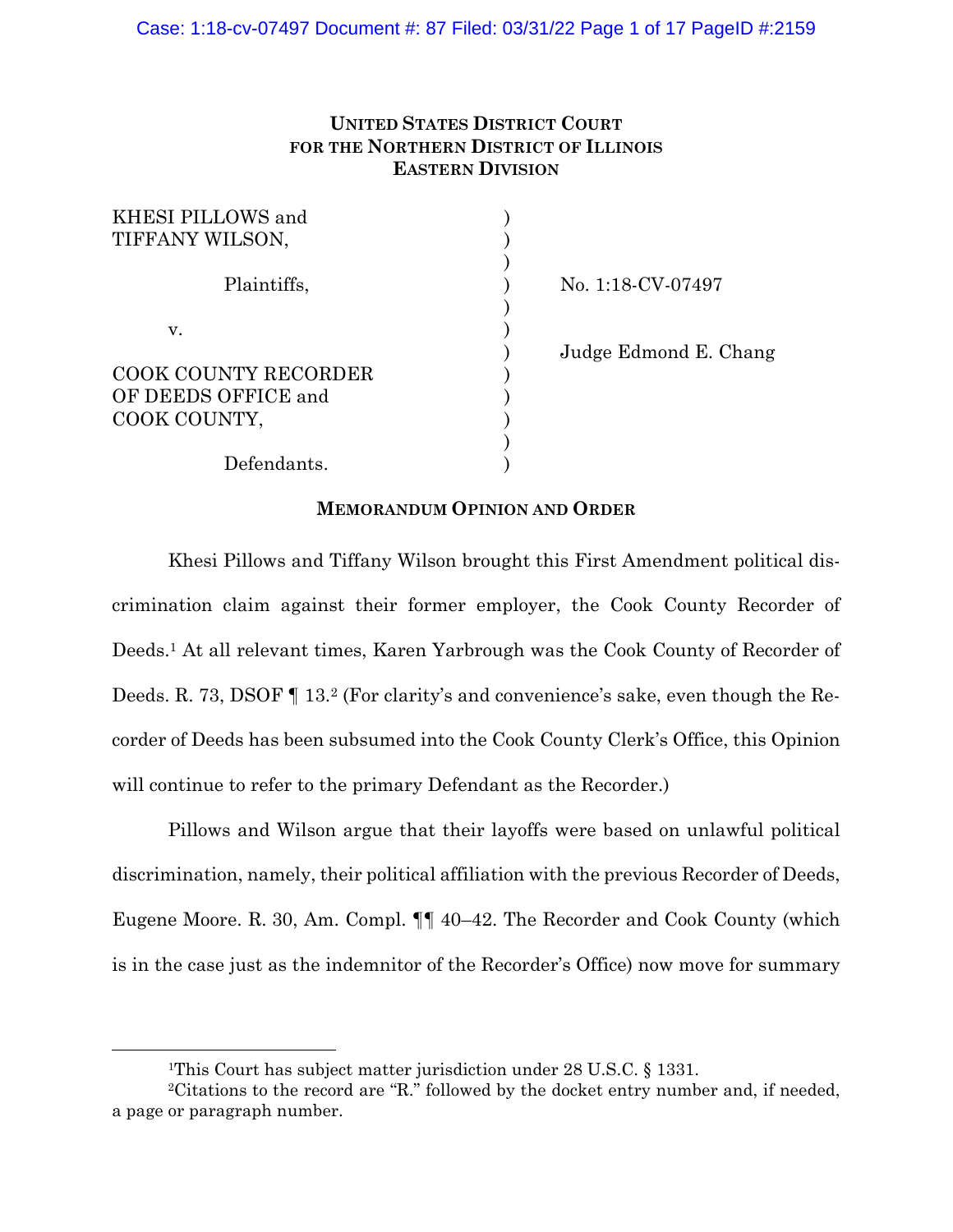# **UNITED STATES DISTRICT COURT FOR THE NORTHERN DISTRICT OF ILLINOIS EASTERN DIVISION**

| KHESI PILLOWS and           |    |
|-----------------------------|----|
| TIFFANY WILSON,             |    |
| Plaintiffs,                 | Nο |
| V.                          |    |
|                             | Ju |
| <b>COOK COUNTY RECORDER</b> |    |
| OF DEEDS OFFICE and         |    |
| COOK COUNTY,                |    |
|                             |    |
| Defendants.                 |    |

p. 1:18-CV-07497

dge Edmond E. Chang

# **MEMORANDUM OPINION AND ORDER**

Khesi Pillows and Tiffany Wilson brought this First Amendment political discrimination claim against their former employer, the Cook County Recorder of Deeds.1 At all relevant times, Karen Yarbrough was the Cook County of Recorder of Deeds. R. 73, DSOF ¶ 13.2 (For clarity's and convenience's sake, even though the Recorder of Deeds has been subsumed into the Cook County Clerk's Office, this Opinion will continue to refer to the primary Defendant as the Recorder.)

 Pillows and Wilson argue that their layoffs were based on unlawful political discrimination, namely, their political affiliation with the previous Recorder of Deeds, Eugene Moore. R. 30, Am. Compl. ¶¶ 40–42. The Recorder and Cook County (which is in the case just as the indemnitor of the Recorder's Office) now move for summary

<sup>&</sup>lt;sup>1</sup>This Court has subject matter jurisdiction under 28 U.S.C. § 1331.

<sup>2</sup>Citations to the record are "R." followed by the docket entry number and, if needed, a page or paragraph number.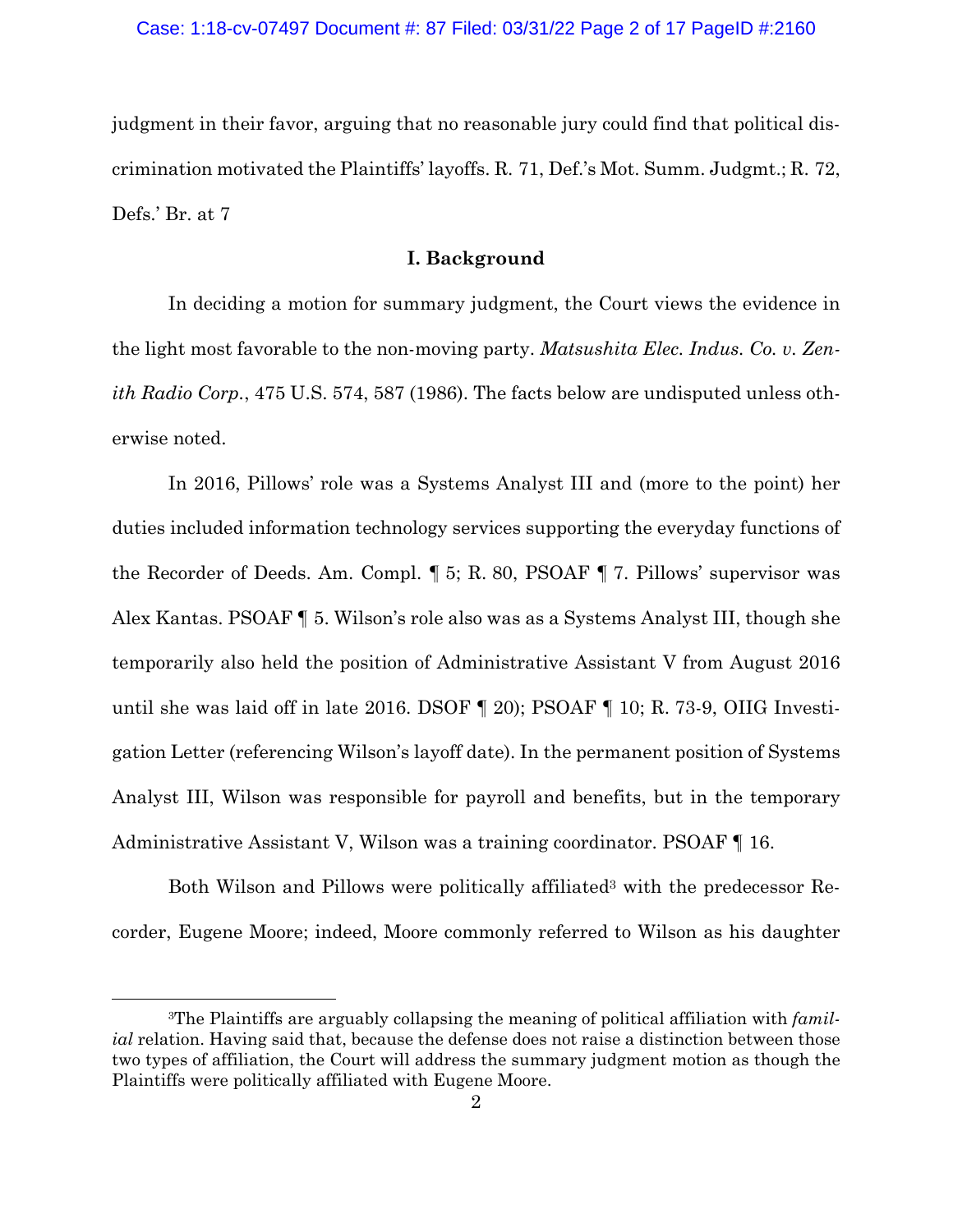judgment in their favor, arguing that no reasonable jury could find that political discrimination motivated the Plaintiffs' layoffs. R. 71, Def.'s Mot. Summ. Judgmt.; R. 72, Defs.' Br. at 7

# **I. Background**

In deciding a motion for summary judgment, the Court views the evidence in the light most favorable to the non-moving party. *Matsushita Elec. Indus. Co. v. Zenith Radio Corp.*, 475 U.S. 574, 587 (1986). The facts below are undisputed unless otherwise noted.

In 2016, Pillows' role was a Systems Analyst III and (more to the point) her duties included information technology services supporting the everyday functions of the Recorder of Deeds. Am. Compl. ¶ 5; R. 80, PSOAF ¶ 7. Pillows' supervisor was Alex Kantas. PSOAF ¶ 5. Wilson's role also was as a Systems Analyst III, though she temporarily also held the position of Administrative Assistant V from August 2016 until she was laid off in late 2016. DSOF ¶ 20); PSOAF ¶ 10; R. 73-9, OIIG Investigation Letter (referencing Wilson's layoff date). In the permanent position of Systems Analyst III, Wilson was responsible for payroll and benefits, but in the temporary Administrative Assistant V, Wilson was a training coordinator. PSOAF ¶ 16.

Both Wilson and Pillows were politically affiliated<sup>3</sup> with the predecessor Recorder, Eugene Moore; indeed, Moore commonly referred to Wilson as his daughter

<sup>3</sup>The Plaintiffs are arguably collapsing the meaning of political affiliation with *familial* relation. Having said that, because the defense does not raise a distinction between those two types of affiliation, the Court will address the summary judgment motion as though the Plaintiffs were politically affiliated with Eugene Moore.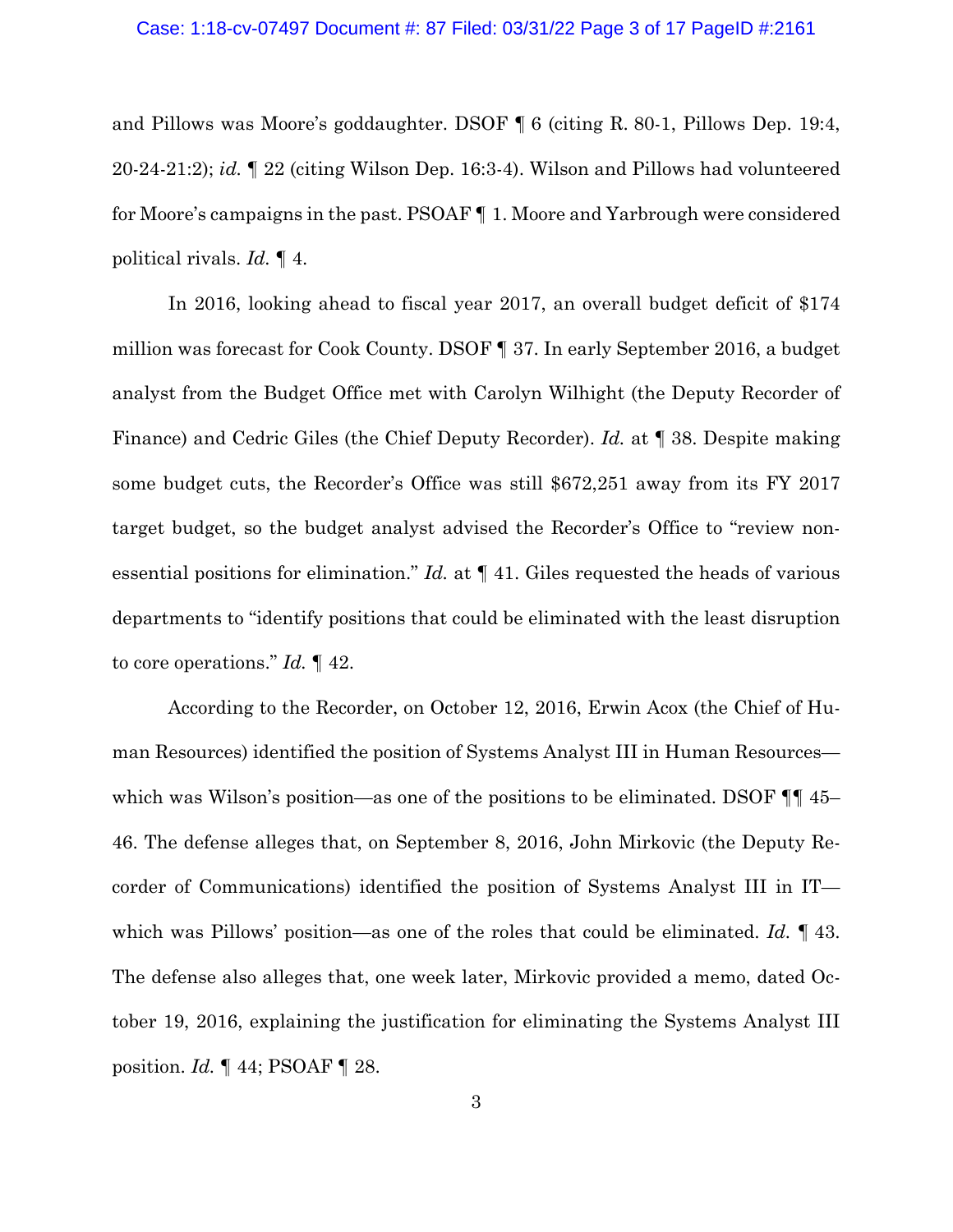#### Case: 1:18-cv-07497 Document #: 87 Filed: 03/31/22 Page 3 of 17 PageID #:2161

and Pillows was Moore's goddaughter. DSOF ¶ 6 (citing R. 80-1, Pillows Dep. 19:4, 20-24-21:2); *id.* ¶ 22 (citing Wilson Dep. 16:3-4). Wilson and Pillows had volunteered for Moore's campaigns in the past. PSOAF ¶ 1. Moore and Yarbrough were considered political rivals. *Id.* ¶ 4.

In 2016, looking ahead to fiscal year 2017, an overall budget deficit of \$174 million was forecast for Cook County. DSOF ¶ 37. In early September 2016, a budget analyst from the Budget Office met with Carolyn Wilhight (the Deputy Recorder of Finance) and Cedric Giles (the Chief Deputy Recorder). *Id.* at ¶ 38. Despite making some budget cuts, the Recorder's Office was still \$672,251 away from its FY 2017 target budget, so the budget analyst advised the Recorder's Office to "review nonessential positions for elimination." *Id.* at ¶ 41. Giles requested the heads of various departments to "identify positions that could be eliminated with the least disruption to core operations." *Id.* ¶ 42.

According to the Recorder, on October 12, 2016, Erwin Acox (the Chief of Human Resources) identified the position of Systems Analyst III in Human Resources which was Wilson's position—as one of the positions to be eliminated. DSOF  $\P\P$  45– 46. The defense alleges that, on September 8, 2016, John Mirkovic (the Deputy Recorder of Communications) identified the position of Systems Analyst III in IT which was Pillows' position—as one of the roles that could be eliminated. *Id.* ¶ 43. The defense also alleges that, one week later, Mirkovic provided a memo, dated October 19, 2016, explaining the justification for eliminating the Systems Analyst III position. *Id.* ¶ 44; PSOAF ¶ 28.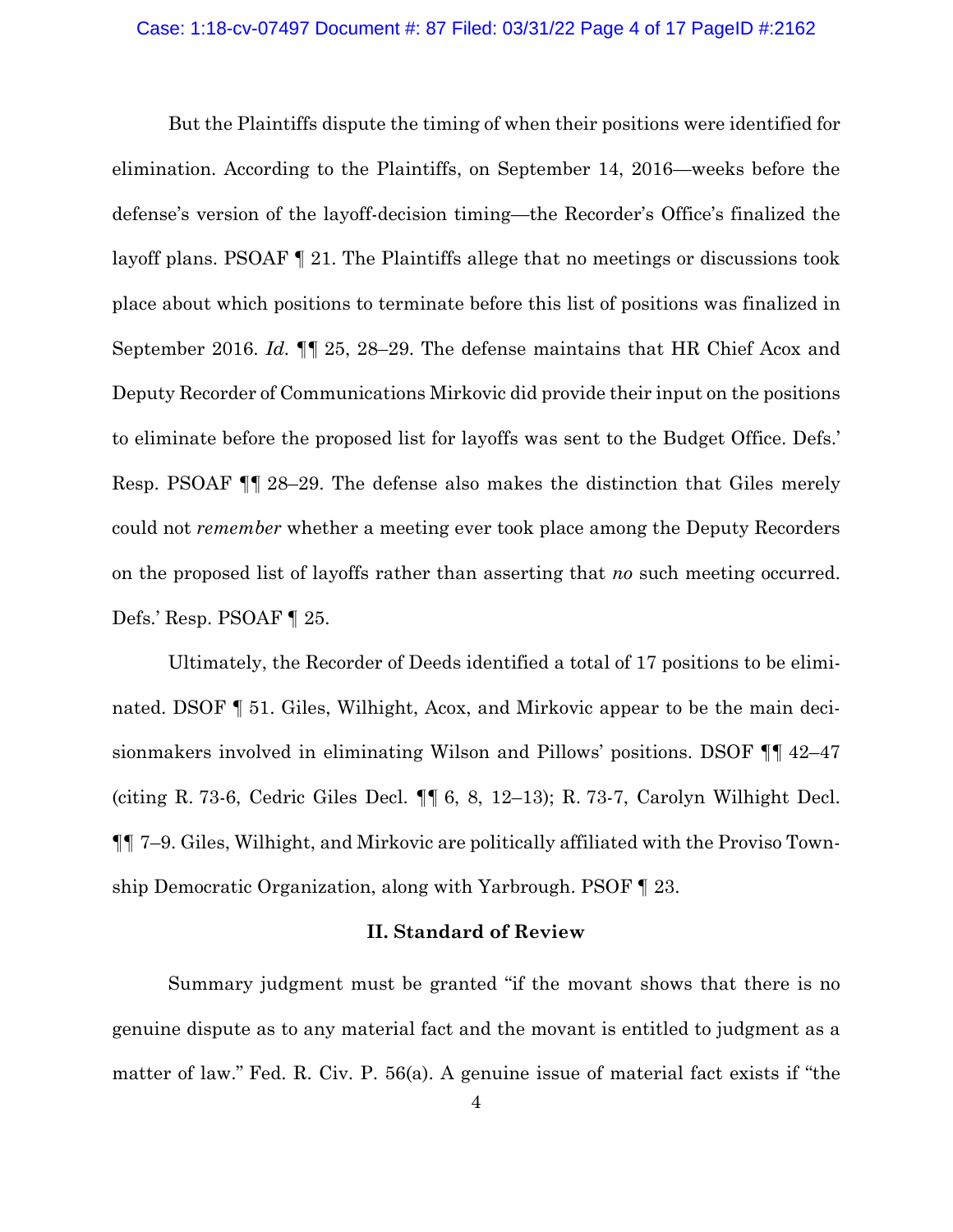#### Case: 1:18-cv-07497 Document #: 87 Filed: 03/31/22 Page 4 of 17 PageID #:2162

But the Plaintiffs dispute the timing of when their positions were identified for elimination. According to the Plaintiffs, on September 14, 2016—weeks before the defense's version of the layoff-decision timing—the Recorder's Office's finalized the layoff plans. PSOAF ¶ 21. The Plaintiffs allege that no meetings or discussions took place about which positions to terminate before this list of positions was finalized in September 2016. *Id.* ¶¶ 25, 28–29. The defense maintains that HR Chief Acox and Deputy Recorder of Communications Mirkovic did provide their input on the positions to eliminate before the proposed list for layoffs was sent to the Budget Office. Defs.' Resp. PSOAF ¶¶ 28–29. The defense also makes the distinction that Giles merely could not *remember* whether a meeting ever took place among the Deputy Recorders on the proposed list of layoffs rather than asserting that *no* such meeting occurred. Defs.' Resp. PSOAF ¶ 25.

Ultimately, the Recorder of Deeds identified a total of 17 positions to be eliminated. DSOF  $\P$  51. Giles, Wilhight, Acox, and Mirkovic appear to be the main decisionmakers involved in eliminating Wilson and Pillows' positions. DSOF ¶¶ 42–47 (citing R. 73-6, Cedric Giles Decl. ¶¶ 6, 8, 12–13); R. 73-7, Carolyn Wilhight Decl. ¶¶ 7–9. Giles, Wilhight, and Mirkovic are politically affiliated with the Proviso Township Democratic Organization, along with Yarbrough. PSOF ¶ 23.

### **II. Standard of Review**

Summary judgment must be granted "if the movant shows that there is no genuine dispute as to any material fact and the movant is entitled to judgment as a matter of law." Fed. R. Civ. P. 56(a). A genuine issue of material fact exists if "the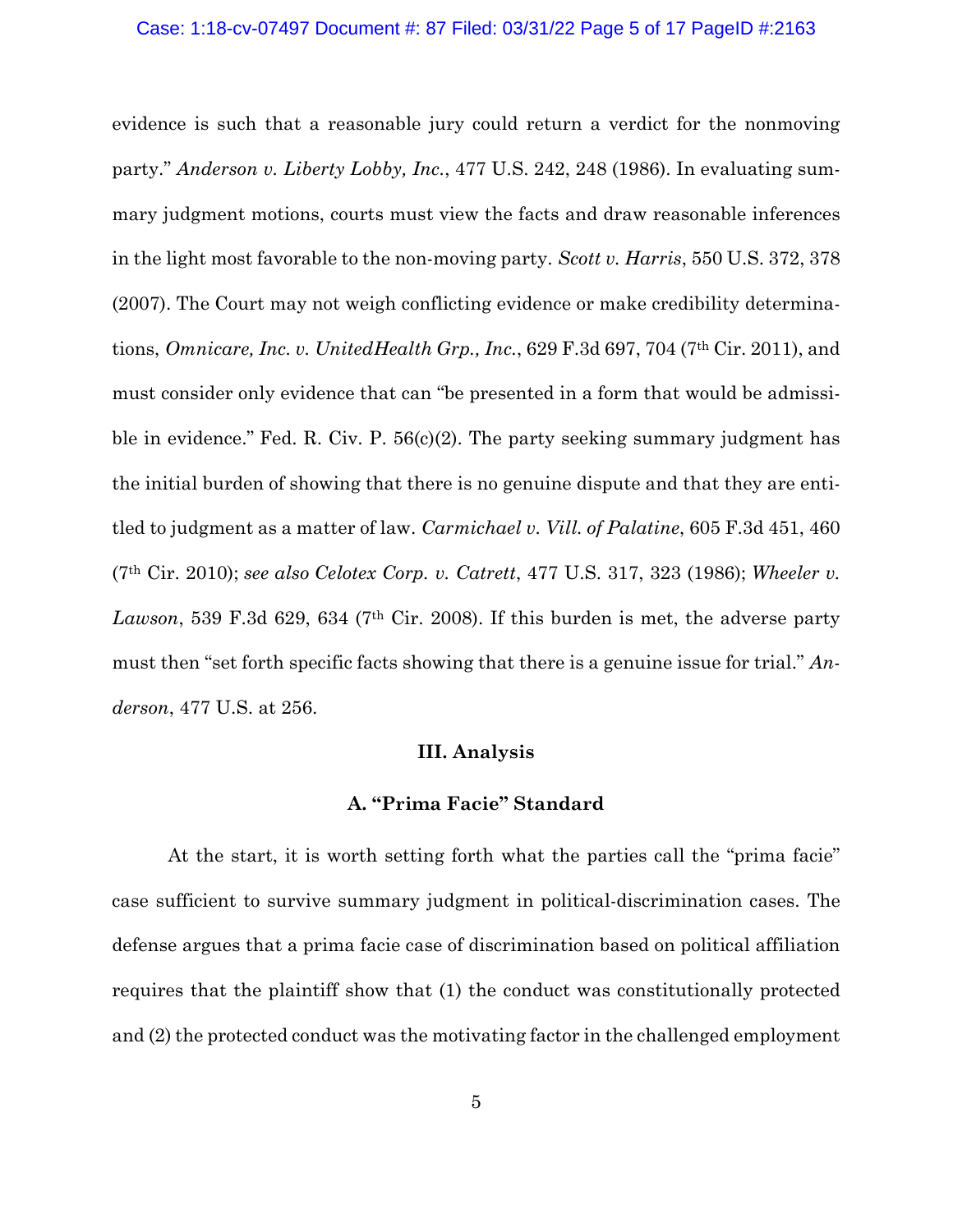## Case: 1:18-cv-07497 Document #: 87 Filed: 03/31/22 Page 5 of 17 PageID #:2163

evidence is such that a reasonable jury could return a verdict for the nonmoving party." *Anderson v. Liberty Lobby, Inc.*, 477 U.S. 242, 248 (1986). In evaluating summary judgment motions, courts must view the facts and draw reasonable inferences in the light most favorable to the non-moving party. *Scott v. Harris*, 550 U.S. 372, 378 (2007). The Court may not weigh conflicting evidence or make credibility determinations, *Omnicare, Inc. v. UnitedHealth Grp., Inc.*, 629 F.3d 697, 704 (7th Cir. 2011), and must consider only evidence that can "be presented in a form that would be admissible in evidence." Fed. R. Civ. P. 56(c)(2). The party seeking summary judgment has the initial burden of showing that there is no genuine dispute and that they are entitled to judgment as a matter of law. *Carmichael v. Vill. of Palatine*, 605 F.3d 451, 460 (7th Cir. 2010); *see also Celotex Corp. v. Catrett*, 477 U.S. 317, 323 (1986); *Wheeler v.*  Lawson, 539 F.3d 629, 634 (7<sup>th</sup> Cir. 2008). If this burden is met, the adverse party must then "set forth specific facts showing that there is a genuine issue for trial." *Anderson*, 477 U.S. at 256.

## **III. Analysis**

## **A. "Prima Facie" Standard**

At the start, it is worth setting forth what the parties call the "prima facie" case sufficient to survive summary judgment in political-discrimination cases. The defense argues that a prima facie case of discrimination based on political affiliation requires that the plaintiff show that (1) the conduct was constitutionally protected and (2) the protected conduct was the motivating factor in the challenged employment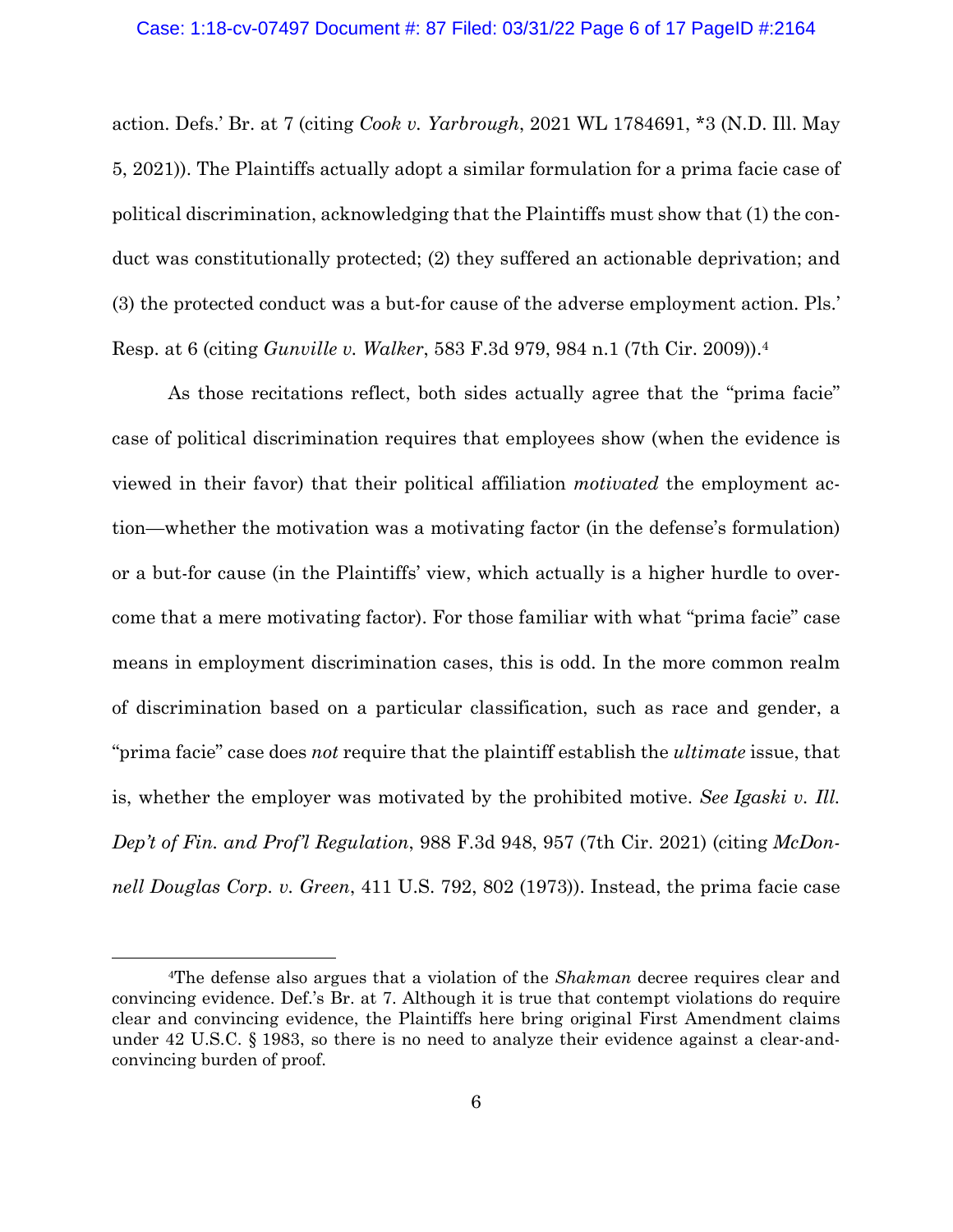#### Case: 1:18-cv-07497 Document #: 87 Filed: 03/31/22 Page 6 of 17 PageID #:2164

action. Defs.' Br. at 7 (citing *Cook v. Yarbrough*, 2021 WL 1784691, \*3 (N.D. Ill. May 5, 2021)). The Plaintiffs actually adopt a similar formulation for a prima facie case of political discrimination, acknowledging that the Plaintiffs must show that (1) the conduct was constitutionally protected; (2) they suffered an actionable deprivation; and (3) the protected conduct was a but-for cause of the adverse employment action. Pls.' Resp. at 6 (citing *Gunville v. Walker*, 583 F.3d 979, 984 n.1 (7th Cir. 2009)).4

 As those recitations reflect, both sides actually agree that the "prima facie" case of political discrimination requires that employees show (when the evidence is viewed in their favor) that their political affiliation *motivated* the employment action—whether the motivation was a motivating factor (in the defense's formulation) or a but-for cause (in the Plaintiffs' view, which actually is a higher hurdle to overcome that a mere motivating factor). For those familiar with what "prima facie" case means in employment discrimination cases, this is odd. In the more common realm of discrimination based on a particular classification, such as race and gender, a "prima facie" case does *not* require that the plaintiff establish the *ultimate* issue, that is, whether the employer was motivated by the prohibited motive. *See Igaski v. Ill. Dep't of Fin. and Prof'l Regulation*, 988 F.3d 948, 957 (7th Cir. 2021) (citing *McDonnell Douglas Corp. v. Green*, 411 U.S. 792, 802 (1973)). Instead, the prima facie case

<sup>4</sup>The defense also argues that a violation of the *Shakman* decree requires clear and convincing evidence. Def.'s Br. at 7. Although it is true that contempt violations do require clear and convincing evidence, the Plaintiffs here bring original First Amendment claims under 42 U.S.C. § 1983, so there is no need to analyze their evidence against a clear-andconvincing burden of proof.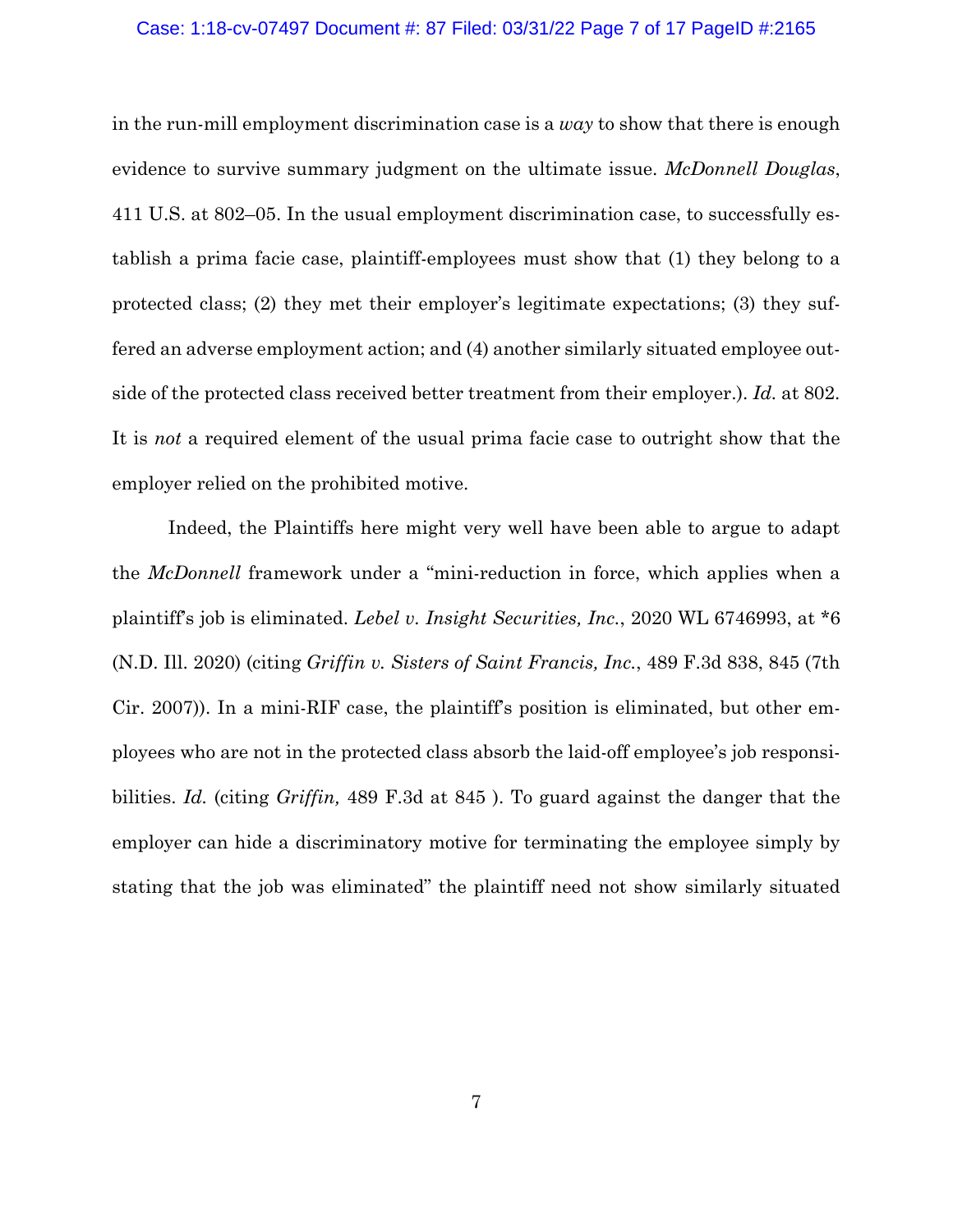### Case: 1:18-cv-07497 Document #: 87 Filed: 03/31/22 Page 7 of 17 PageID #:2165

in the run-mill employment discrimination case is a *way* to show that there is enough evidence to survive summary judgment on the ultimate issue. *McDonnell Douglas*, 411 U.S. at 802–05. In the usual employment discrimination case, to successfully establish a prima facie case, plaintiff-employees must show that (1) they belong to a protected class; (2) they met their employer's legitimate expectations; (3) they suffered an adverse employment action; and (4) another similarly situated employee outside of the protected class received better treatment from their employer.). *Id.* at 802. It is *not* a required element of the usual prima facie case to outright show that the employer relied on the prohibited motive.

 Indeed, the Plaintiffs here might very well have been able to argue to adapt the *McDonnell* framework under a "mini-reduction in force, which applies when a plaintiff's job is eliminated. *Lebel v. Insight Securities, Inc.*, 2020 WL 6746993, at \*6 (N.D. Ill. 2020) (citing *Griffin v. Sisters of Saint Francis, Inc.*, 489 F.3d 838, 845 (7th Cir. 2007)). In a mini-RIF case, the plaintiff's position is eliminated, but other employees who are not in the protected class absorb the laid-off employee's job responsibilities. *Id.* (citing *Griffin,* 489 F.3d at 845 ). To guard against the danger that the employer can hide a discriminatory motive for terminating the employee simply by stating that the job was eliminated" the plaintiff need not show similarly situated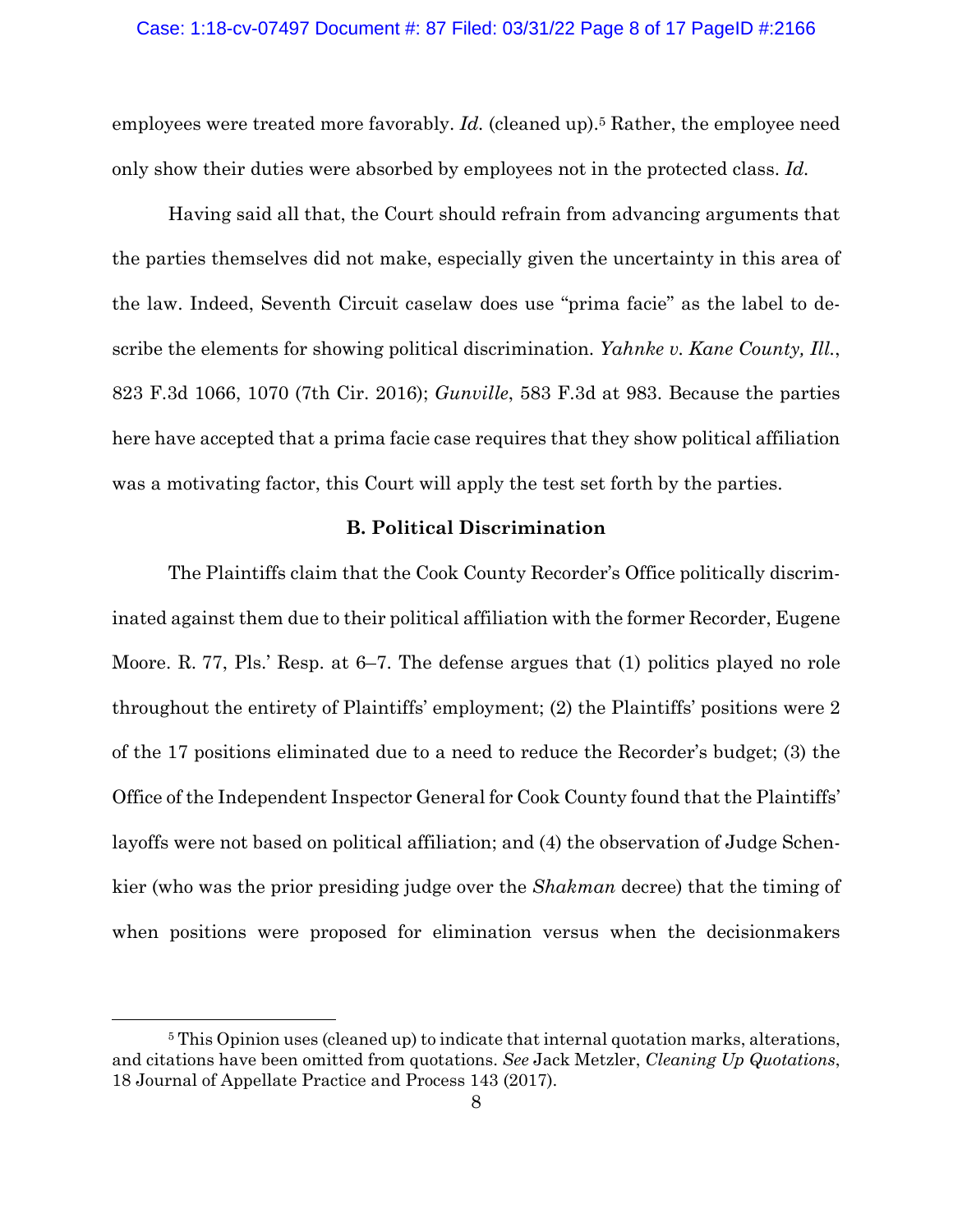## Case: 1:18-cv-07497 Document #: 87 Filed: 03/31/22 Page 8 of 17 PageID #:2166

employees were treated more favorably. *Id.* (cleaned up).<sup>5</sup> Rather, the employee need only show their duties were absorbed by employees not in the protected class. *Id.*

 Having said all that, the Court should refrain from advancing arguments that the parties themselves did not make, especially given the uncertainty in this area of the law. Indeed, Seventh Circuit caselaw does use "prima facie" as the label to describe the elements for showing political discrimination. *Yahnke v. Kane County, Ill.*, 823 F.3d 1066, 1070 (7th Cir. 2016); *Gunville*, 583 F.3d at 983. Because the parties here have accepted that a prima facie case requires that they show political affiliation was a motivating factor, this Court will apply the test set forth by the parties.

### **B. Political Discrimination**

 The Plaintiffs claim that the Cook County Recorder's Office politically discriminated against them due to their political affiliation with the former Recorder, Eugene Moore. R. 77, Pls.' Resp. at 6–7. The defense argues that (1) politics played no role throughout the entirety of Plaintiffs' employment; (2) the Plaintiffs' positions were 2 of the 17 positions eliminated due to a need to reduce the Recorder's budget; (3) the Office of the Independent Inspector General for Cook County found that the Plaintiffs' layoffs were not based on political affiliation; and (4) the observation of Judge Schenkier (who was the prior presiding judge over the *Shakman* decree) that the timing of when positions were proposed for elimination versus when the decisionmakers

<sup>&</sup>lt;sup>5</sup> This Opinion uses (cleaned up) to indicate that internal quotation marks, alterations, and citations have been omitted from quotations. *See* Jack Metzler, *Cleaning Up Quotations*, 18 Journal of Appellate Practice and Process 143 (2017).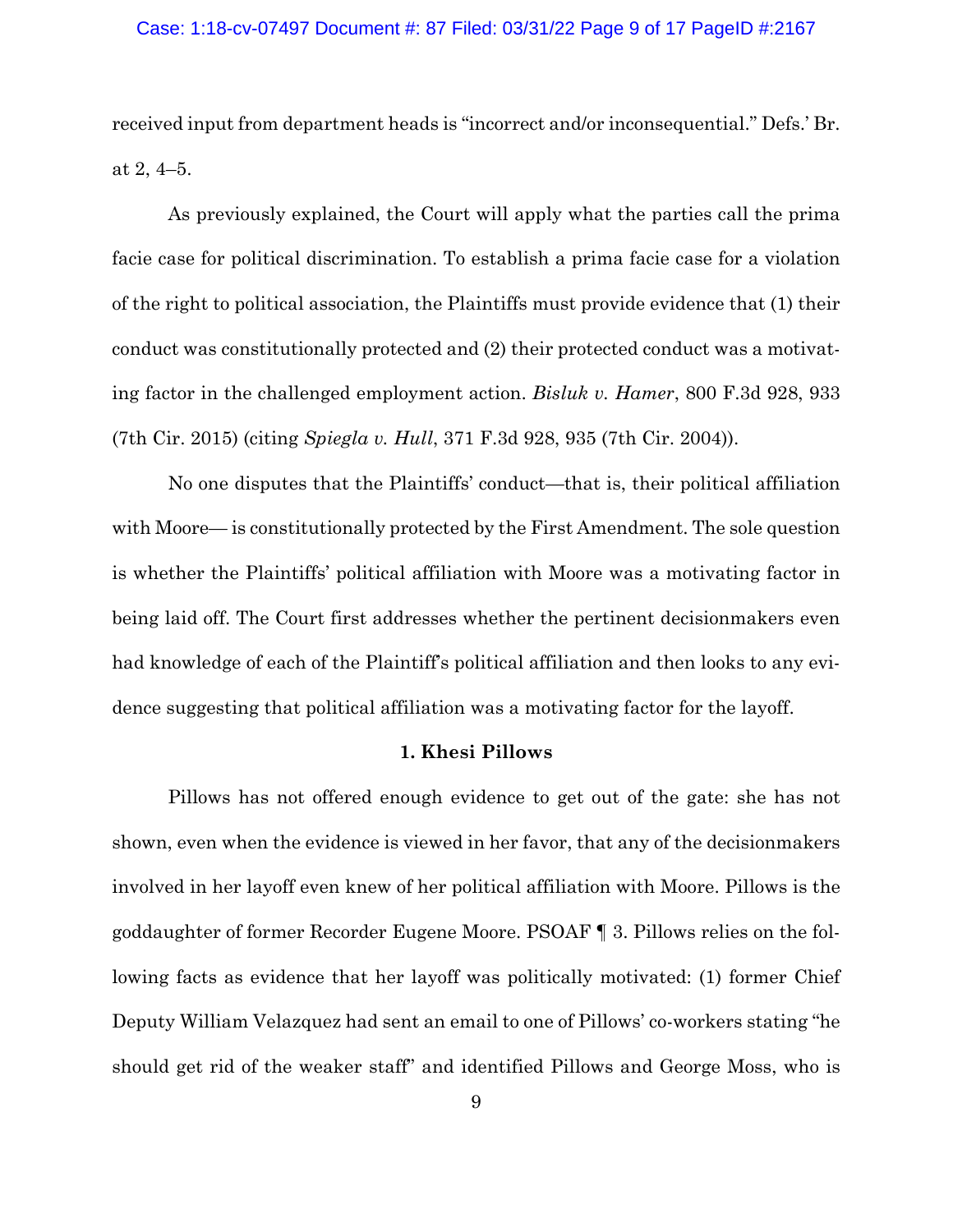#### Case: 1:18-cv-07497 Document #: 87 Filed: 03/31/22 Page 9 of 17 PageID #:2167

received input from department heads is "incorrect and/or inconsequential." Defs.' Br. at 2, 4–5.

 As previously explained, the Court will apply what the parties call the prima facie case for political discrimination. To establish a prima facie case for a violation of the right to political association, the Plaintiffs must provide evidence that (1) their conduct was constitutionally protected and (2) their protected conduct was a motivating factor in the challenged employment action. *Bisluk v. Hamer*, 800 F.3d 928, 933 (7th Cir. 2015) (citing *Spiegla v. Hull*, 371 F.3d 928, 935 (7th Cir. 2004)).

No one disputes that the Plaintiffs' conduct—that is, their political affiliation with Moore— is constitutionally protected by the First Amendment. The sole question is whether the Plaintiffs' political affiliation with Moore was a motivating factor in being laid off. The Court first addresses whether the pertinent decisionmakers even had knowledge of each of the Plaintiff's political affiliation and then looks to any evidence suggesting that political affiliation was a motivating factor for the layoff.

### **1. Khesi Pillows**

 Pillows has not offered enough evidence to get out of the gate: she has not shown, even when the evidence is viewed in her favor, that any of the decisionmakers involved in her layoff even knew of her political affiliation with Moore. Pillows is the goddaughter of former Recorder Eugene Moore. PSOAF ¶ 3. Pillows relies on the following facts as evidence that her layoff was politically motivated: (1) former Chief Deputy William Velazquez had sent an email to one of Pillows' co-workers stating "he should get rid of the weaker staff" and identified Pillows and George Moss, who is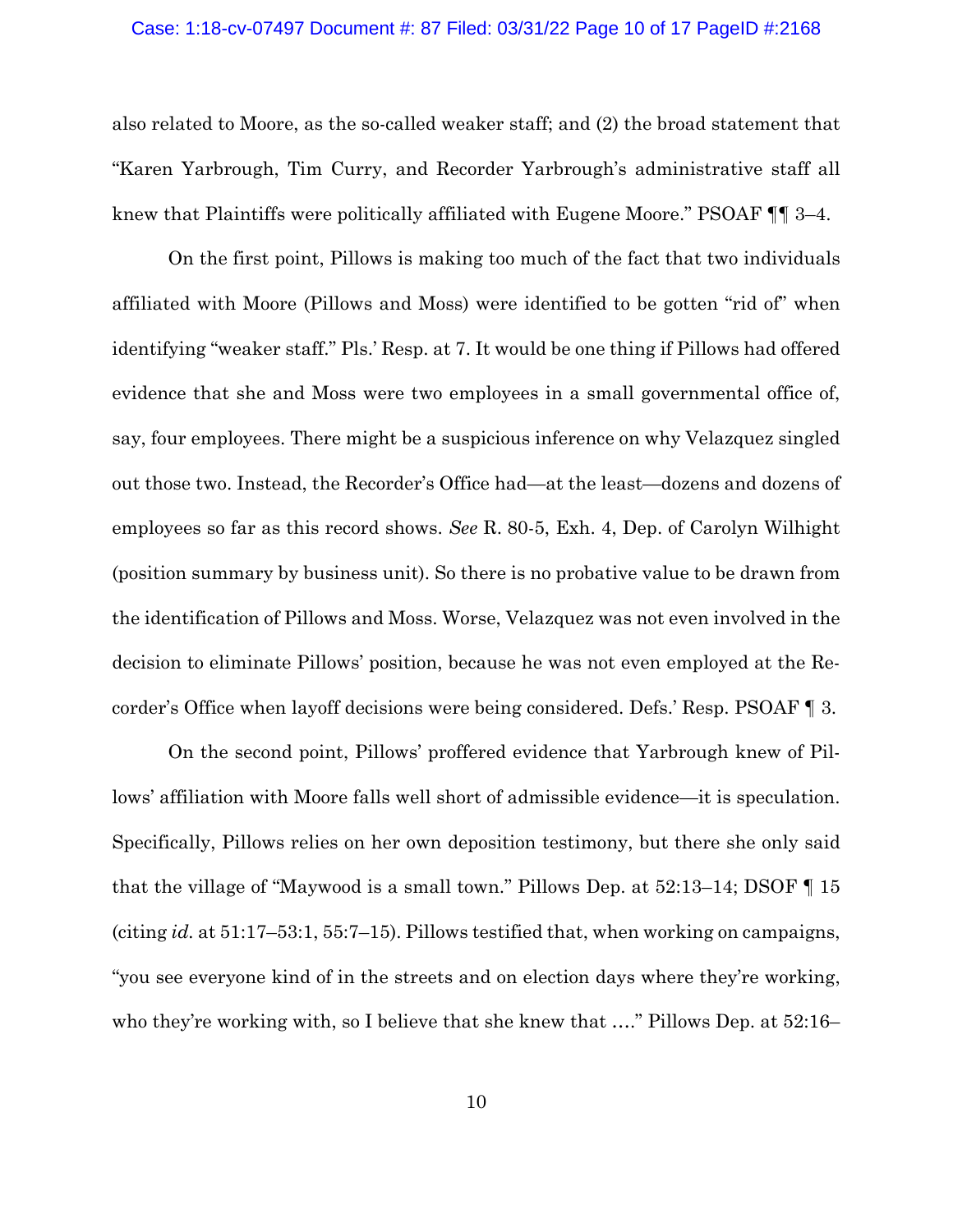#### Case: 1:18-cv-07497 Document #: 87 Filed: 03/31/22 Page 10 of 17 PageID #:2168

also related to Moore, as the so-called weaker staff; and (2) the broad statement that "Karen Yarbrough, Tim Curry, and Recorder Yarbrough's administrative staff all knew that Plaintiffs were politically affiliated with Eugene Moore." PSOAF ¶¶ 3–4.

On the first point, Pillows is making too much of the fact that two individuals affiliated with Moore (Pillows and Moss) were identified to be gotten "rid of" when identifying "weaker staff." Pls.' Resp. at 7. It would be one thing if Pillows had offered evidence that she and Moss were two employees in a small governmental office of, say, four employees. There might be a suspicious inference on why Velazquez singled out those two. Instead, the Recorder's Office had—at the least—dozens and dozens of employees so far as this record shows. *See* R. 80-5, Exh. 4, Dep. of Carolyn Wilhight (position summary by business unit). So there is no probative value to be drawn from the identification of Pillows and Moss. Worse, Velazquez was not even involved in the decision to eliminate Pillows' position, because he was not even employed at the Recorder's Office when layoff decisions were being considered. Defs.' Resp. PSOAF ¶ 3.

On the second point, Pillows' proffered evidence that Yarbrough knew of Pillows' affiliation with Moore falls well short of admissible evidence—it is speculation. Specifically, Pillows relies on her own deposition testimony, but there she only said that the village of "Maywood is a small town." Pillows Dep. at 52:13–14; DSOF ¶ 15 (citing *id.* at 51:17–53:1, 55:7–15). Pillows testified that, when working on campaigns, "you see everyone kind of in the streets and on election days where they're working, who they're working with, so I believe that she knew that ...." Pillows Dep. at 52:16–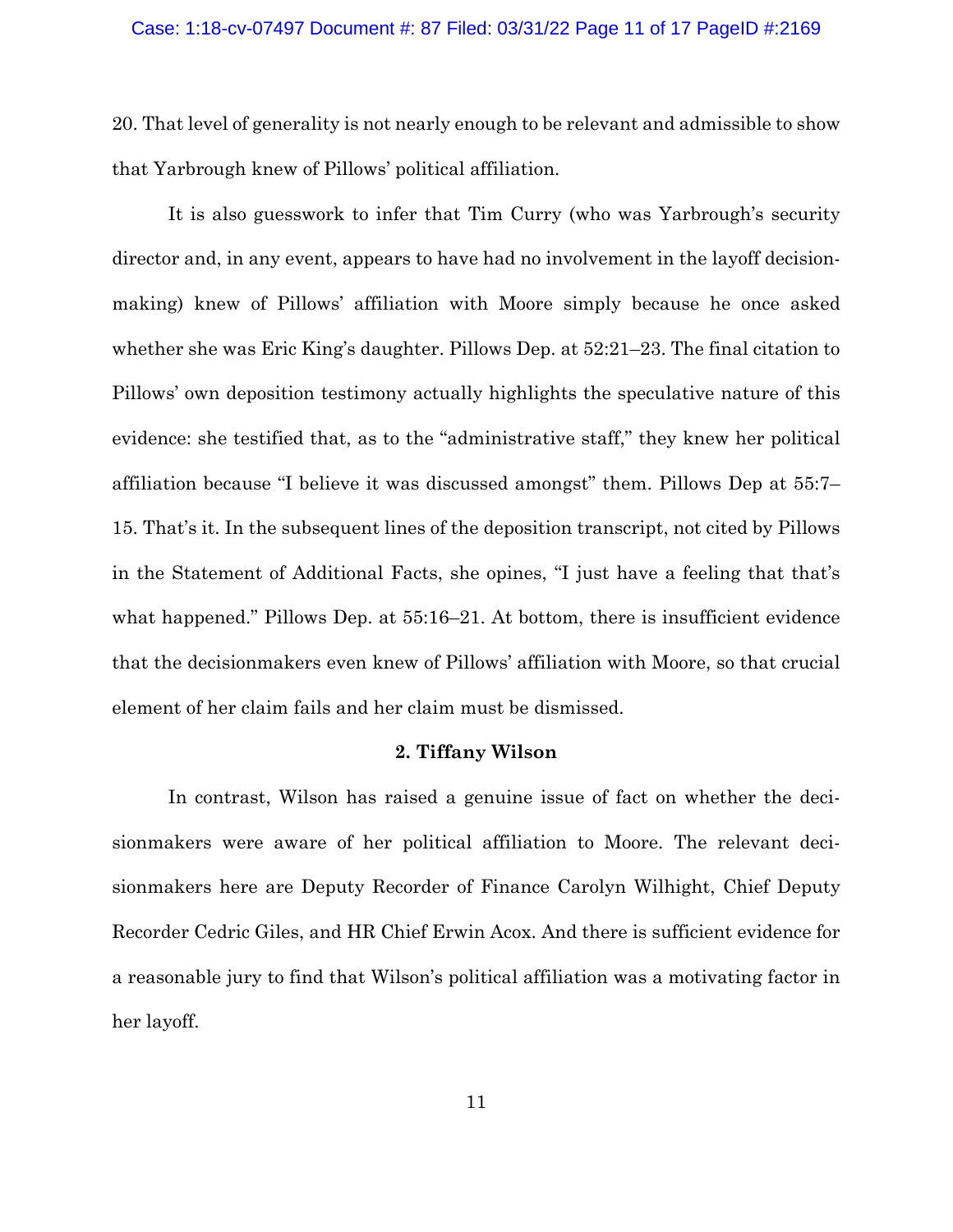#### Case: 1:18-cv-07497 Document #: 87 Filed: 03/31/22 Page 11 of 17 PageID #:2169

20. That level of generality is not nearly enough to be relevant and admissible to show that Yarbrough knew of Pillows' political affiliation.

It is also guesswork to infer that Tim Curry (who was Yarbrough's security director and, in any event, appears to have had no involvement in the layoff decisionmaking) knew of Pillows' affiliation with Moore simply because he once asked whether she was Eric King's daughter. Pillows Dep. at 52:21–23. The final citation to Pillows' own deposition testimony actually highlights the speculative nature of this evidence: she testified that, as to the "administrative staff," they knew her political affiliation because "I believe it was discussed amongst" them. Pillows Dep at 55:7– 15. That's it. In the subsequent lines of the deposition transcript, not cited by Pillows in the Statement of Additional Facts, she opines, "I just have a feeling that that's what happened." Pillows Dep. at 55:16–21. At bottom, there is insufficient evidence that the decisionmakers even knew of Pillows' affiliation with Moore, so that crucial element of her claim fails and her claim must be dismissed.

## **2. Tiffany Wilson**

 In contrast, Wilson has raised a genuine issue of fact on whether the decisionmakers were aware of her political affiliation to Moore. The relevant decisionmakers here are Deputy Recorder of Finance Carolyn Wilhight, Chief Deputy Recorder Cedric Giles, and HR Chief Erwin Acox. And there is sufficient evidence for a reasonable jury to find that Wilson's political affiliation was a motivating factor in her layoff.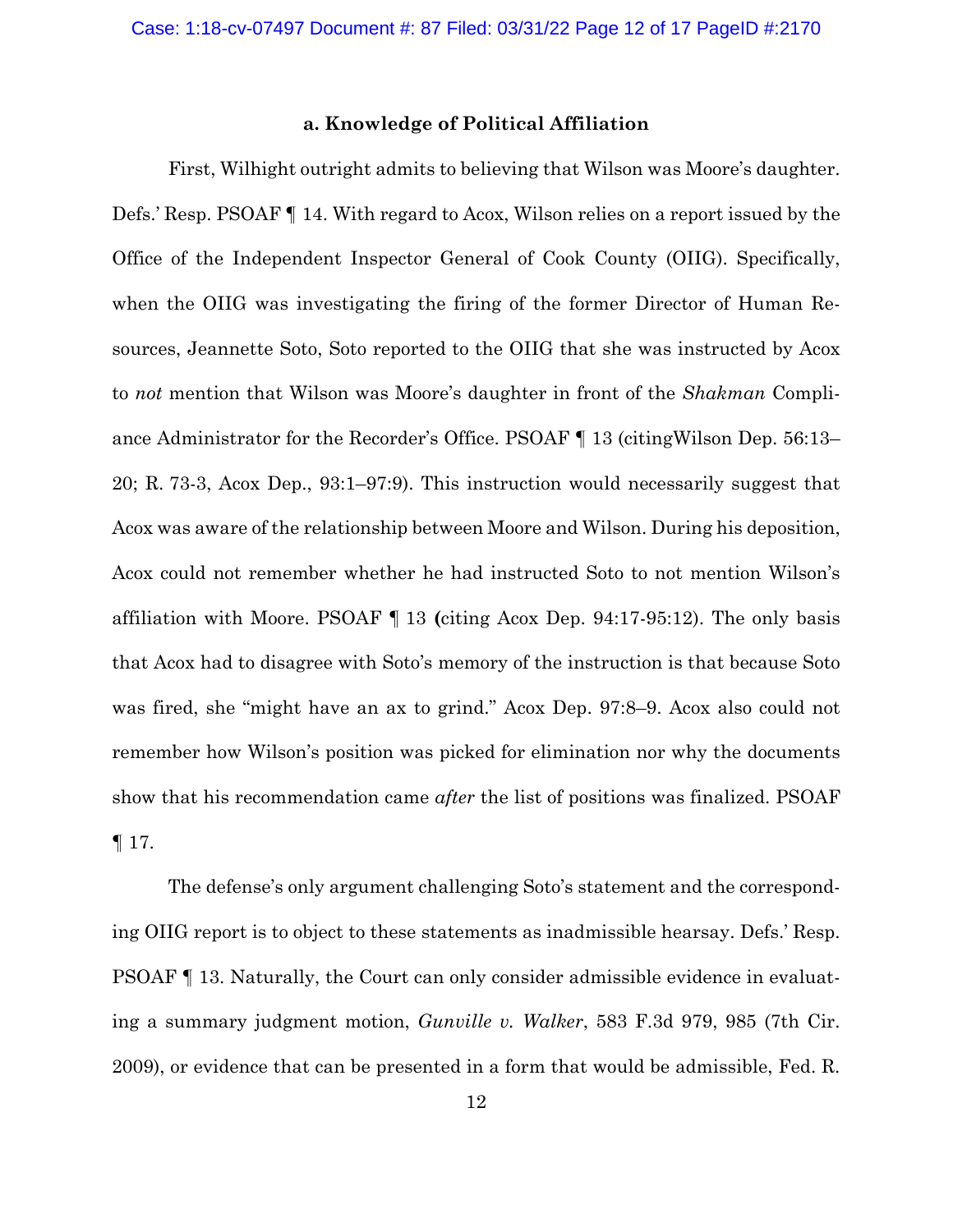## **a. Knowledge of Political Affiliation**

 First, Wilhight outright admits to believing that Wilson was Moore's daughter. Defs.' Resp. PSOAF ¶ 14. With regard to Acox, Wilson relies on a report issued by the Office of the Independent Inspector General of Cook County (OIIG). Specifically, when the OIIG was investigating the firing of the former Director of Human Resources, Jeannette Soto, Soto reported to the OIIG that she was instructed by Acox to *not* mention that Wilson was Moore's daughter in front of the *Shakman* Compliance Administrator for the Recorder's Office. PSOAF ¶ 13 (citingWilson Dep. 56:13– 20; R. 73-3, Acox Dep., 93:1–97:9). This instruction would necessarily suggest that Acox was aware of the relationship between Moore and Wilson. During his deposition, Acox could not remember whether he had instructed Soto to not mention Wilson's affiliation with Moore. PSOAF ¶ 13 **(**citing Acox Dep. 94:17-95:12). The only basis that Acox had to disagree with Soto's memory of the instruction is that because Soto was fired, she "might have an ax to grind." Acox Dep. 97:8–9. Acox also could not remember how Wilson's position was picked for elimination nor why the documents show that his recommendation came *after* the list of positions was finalized. PSOAF ¶ 17.

The defense's only argument challenging Soto's statement and the corresponding OIIG report is to object to these statements as inadmissible hearsay. Defs.' Resp. PSOAF ¶ 13. Naturally, the Court can only consider admissible evidence in evaluating a summary judgment motion, *Gunville v. Walker*, 583 F.3d 979, 985 (7th Cir. 2009), or evidence that can be presented in a form that would be admissible, Fed. R.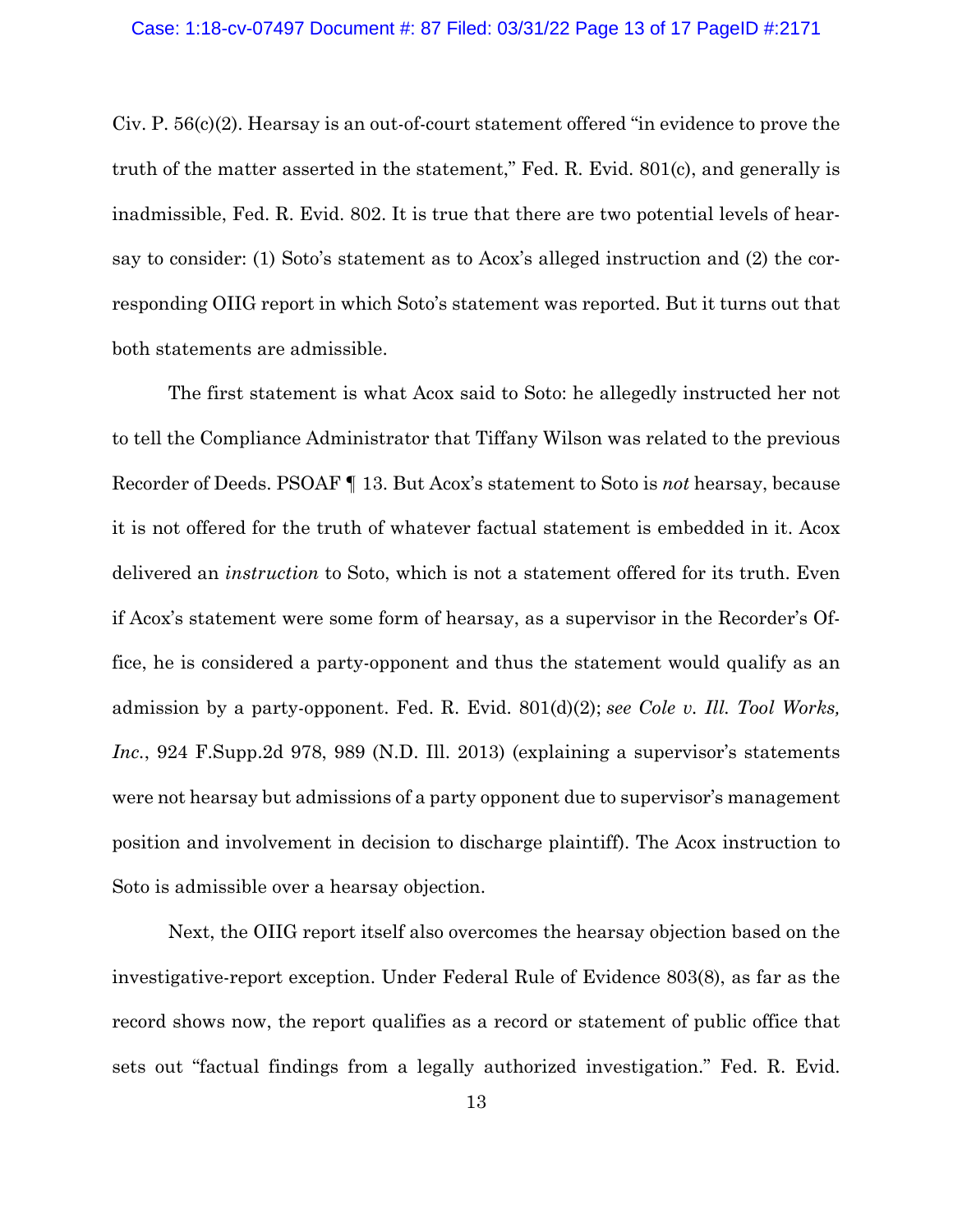#### Case: 1:18-cv-07497 Document #: 87 Filed: 03/31/22 Page 13 of 17 PageID #:2171

Civ. P. 56(c)(2). Hearsay is an out-of-court statement offered "in evidence to prove the truth of the matter asserted in the statement," Fed. R. Evid. 801(c), and generally is inadmissible, Fed. R. Evid. 802. It is true that there are two potential levels of hearsay to consider: (1) Soto's statement as to Acox's alleged instruction and (2) the corresponding OIIG report in which Soto's statement was reported. But it turns out that both statements are admissible.

The first statement is what Acox said to Soto: he allegedly instructed her not to tell the Compliance Administrator that Tiffany Wilson was related to the previous Recorder of Deeds. PSOAF ¶ 13. But Acox's statement to Soto is *not* hearsay, because it is not offered for the truth of whatever factual statement is embedded in it. Acox delivered an *instruction* to Soto, which is not a statement offered for its truth. Even if Acox's statement were some form of hearsay, as a supervisor in the Recorder's Office, he is considered a party-opponent and thus the statement would qualify as an admission by a party-opponent. Fed. R. Evid. 801(d)(2); *see Cole v. Ill. Tool Works, Inc.*, 924 F.Supp.2d 978, 989 (N.D. Ill. 2013) (explaining a supervisor's statements were not hearsay but admissions of a party opponent due to supervisor's management position and involvement in decision to discharge plaintiff). The Acox instruction to Soto is admissible over a hearsay objection.

Next, the OIIG report itself also overcomes the hearsay objection based on the investigative-report exception. Under Federal Rule of Evidence 803(8), as far as the record shows now, the report qualifies as a record or statement of public office that sets out "factual findings from a legally authorized investigation." Fed. R. Evid.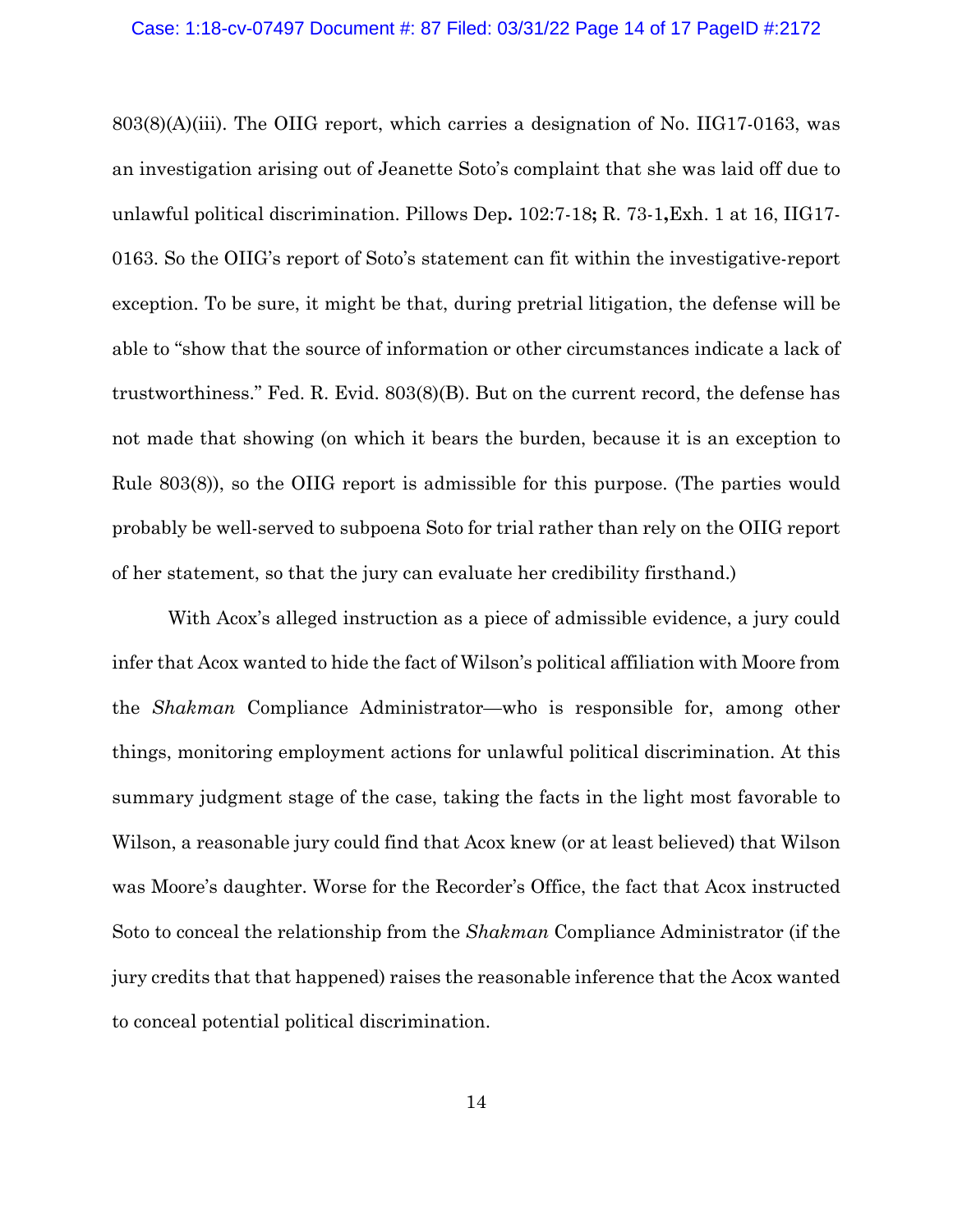#### Case: 1:18-cv-07497 Document #: 87 Filed: 03/31/22 Page 14 of 17 PageID #:2172

803(8)(A)(iii). The OIIG report, which carries a designation of No. IIG17-0163, was an investigation arising out of Jeanette Soto's complaint that she was laid off due to unlawful political discrimination. Pillows Dep**.** 102:7-18**;** R. 73-1**,**Exh. 1 at 16, IIG17- 0163. So the OIIG's report of Soto's statement can fit within the investigative-report exception. To be sure, it might be that, during pretrial litigation, the defense will be able to "show that the source of information or other circumstances indicate a lack of trustworthiness." Fed. R. Evid. 803(8)(B). But on the current record, the defense has not made that showing (on which it bears the burden, because it is an exception to Rule 803(8)), so the OIIG report is admissible for this purpose. (The parties would probably be well-served to subpoena Soto for trial rather than rely on the OIIG report of her statement, so that the jury can evaluate her credibility firsthand.)

With Acox's alleged instruction as a piece of admissible evidence, a jury could infer that Acox wanted to hide the fact of Wilson's political affiliation with Moore from the *Shakman* Compliance Administrator—who is responsible for, among other things, monitoring employment actions for unlawful political discrimination. At this summary judgment stage of the case, taking the facts in the light most favorable to Wilson, a reasonable jury could find that Acox knew (or at least believed) that Wilson was Moore's daughter. Worse for the Recorder's Office, the fact that Acox instructed Soto to conceal the relationship from the *Shakman* Compliance Administrator (if the jury credits that that happened) raises the reasonable inference that the Acox wanted to conceal potential political discrimination.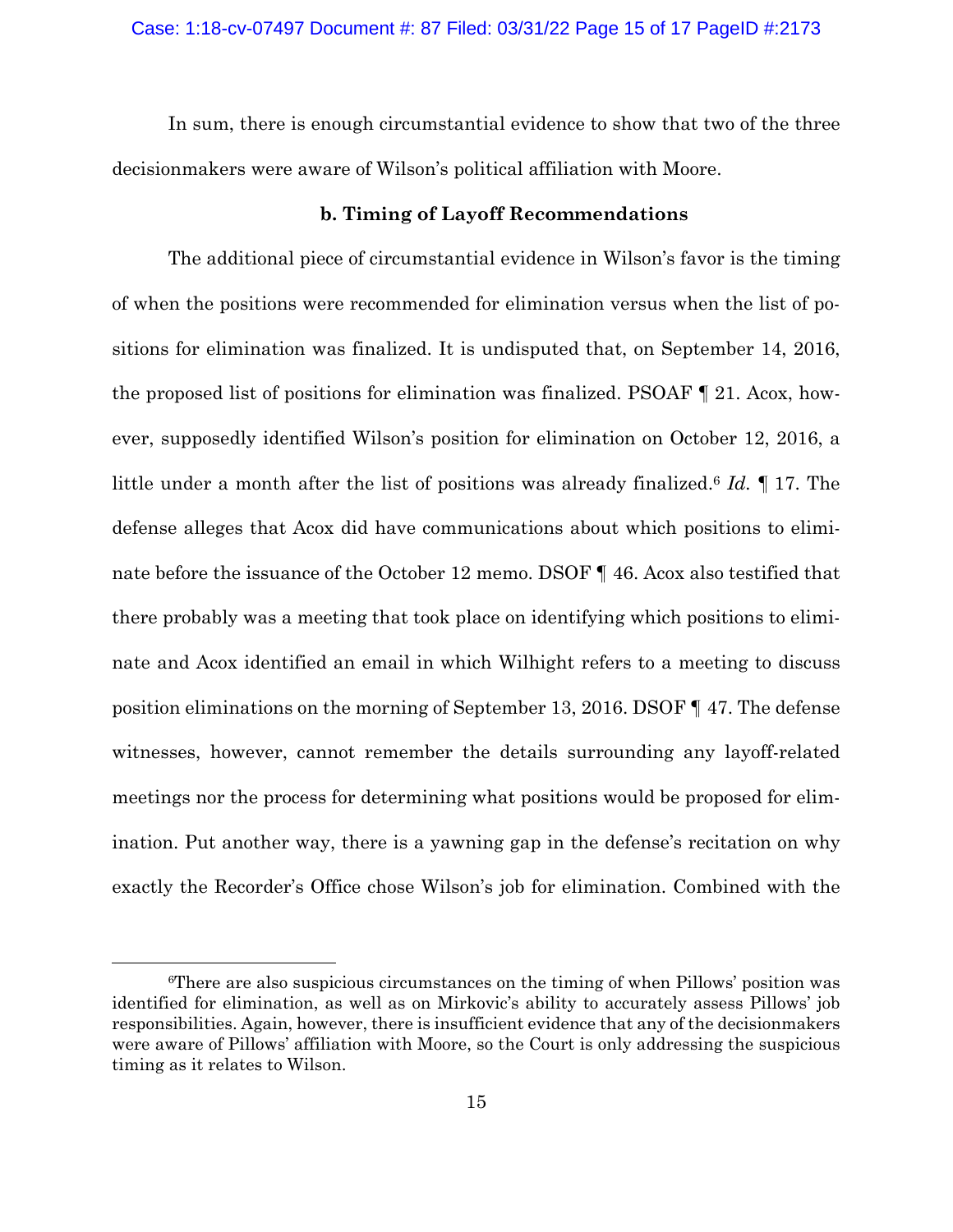In sum, there is enough circumstantial evidence to show that two of the three decisionmakers were aware of Wilson's political affiliation with Moore.

# **b. Timing of Layoff Recommendations**

The additional piece of circumstantial evidence in Wilson's favor is the timing of when the positions were recommended for elimination versus when the list of positions for elimination was finalized. It is undisputed that, on September 14, 2016, the proposed list of positions for elimination was finalized. PSOAF ¶ 21. Acox, however, supposedly identified Wilson's position for elimination on October 12, 2016, a little under a month after the list of positions was already finalized.6 *Id.* ¶ 17. The defense alleges that Acox did have communications about which positions to eliminate before the issuance of the October 12 memo. DSOF ¶ 46. Acox also testified that there probably was a meeting that took place on identifying which positions to eliminate and Acox identified an email in which Wilhight refers to a meeting to discuss position eliminations on the morning of September 13, 2016. DSOF ¶ 47. The defense witnesses, however, cannot remember the details surrounding any layoff-related meetings nor the process for determining what positions would be proposed for elimination. Put another way, there is a yawning gap in the defense's recitation on why exactly the Recorder's Office chose Wilson's job for elimination. Combined with the

<sup>6</sup>There are also suspicious circumstances on the timing of when Pillows' position was identified for elimination, as well as on Mirkovic's ability to accurately assess Pillows' job responsibilities. Again, however, there is insufficient evidence that any of the decisionmakers were aware of Pillows' affiliation with Moore, so the Court is only addressing the suspicious timing as it relates to Wilson.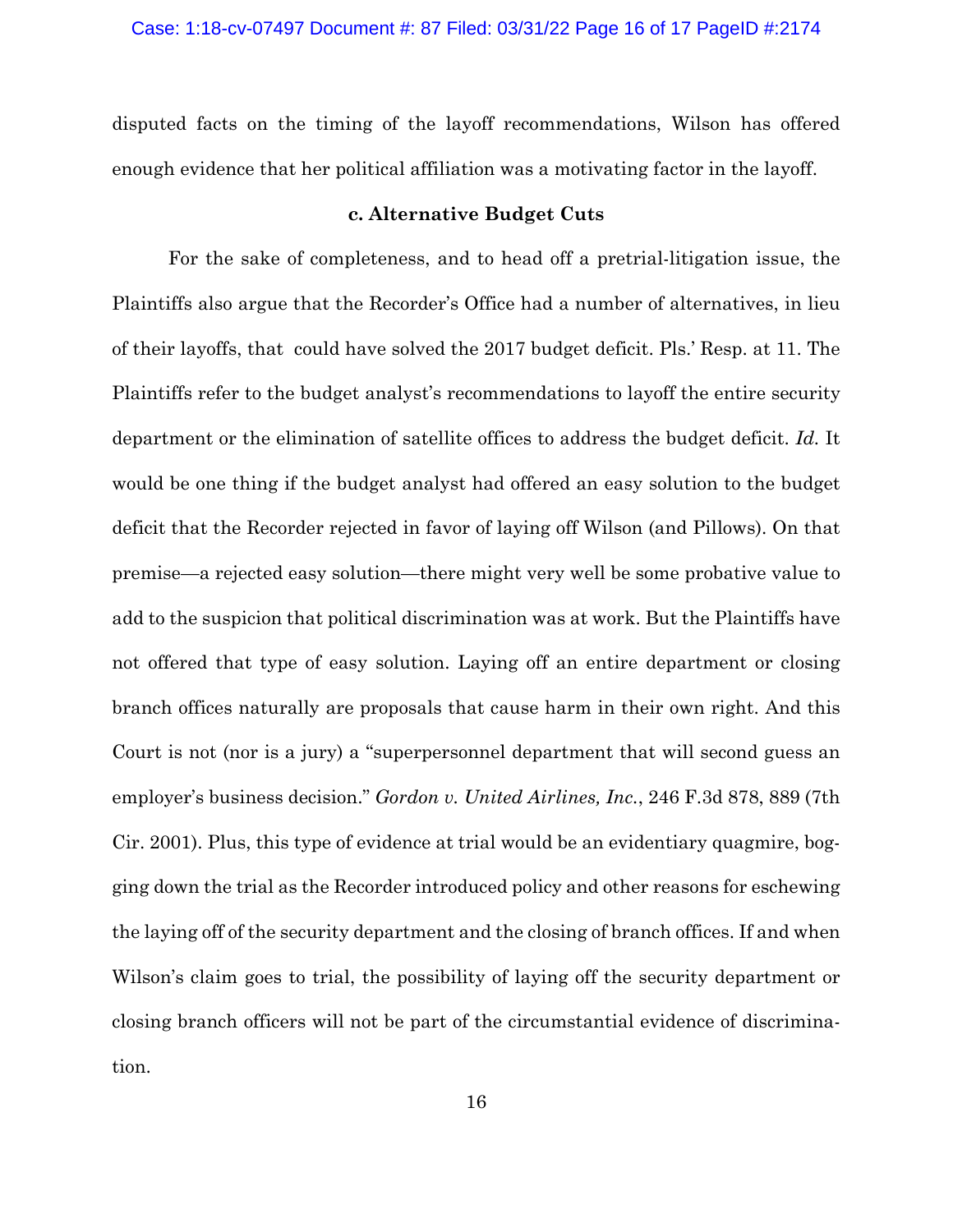disputed facts on the timing of the layoff recommendations, Wilson has offered enough evidence that her political affiliation was a motivating factor in the layoff.

## **c. Alternative Budget Cuts**

For the sake of completeness, and to head off a pretrial-litigation issue, the Plaintiffs also argue that the Recorder's Office had a number of alternatives, in lieu of their layoffs, that could have solved the 2017 budget deficit. Pls.' Resp. at 11. The Plaintiffs refer to the budget analyst's recommendations to layoff the entire security department or the elimination of satellite offices to address the budget deficit. *Id.* It would be one thing if the budget analyst had offered an easy solution to the budget deficit that the Recorder rejected in favor of laying off Wilson (and Pillows). On that premise—a rejected easy solution—there might very well be some probative value to add to the suspicion that political discrimination was at work. But the Plaintiffs have not offered that type of easy solution. Laying off an entire department or closing branch offices naturally are proposals that cause harm in their own right. And this Court is not (nor is a jury) a "superpersonnel department that will second guess an employer's business decision." *Gordon v. United Airlines, Inc.*, 246 F.3d 878, 889 (7th Cir. 2001). Plus, this type of evidence at trial would be an evidentiary quagmire, bogging down the trial as the Recorder introduced policy and other reasons for eschewing the laying off of the security department and the closing of branch offices. If and when Wilson's claim goes to trial, the possibility of laying off the security department or closing branch officers will not be part of the circumstantial evidence of discrimination.